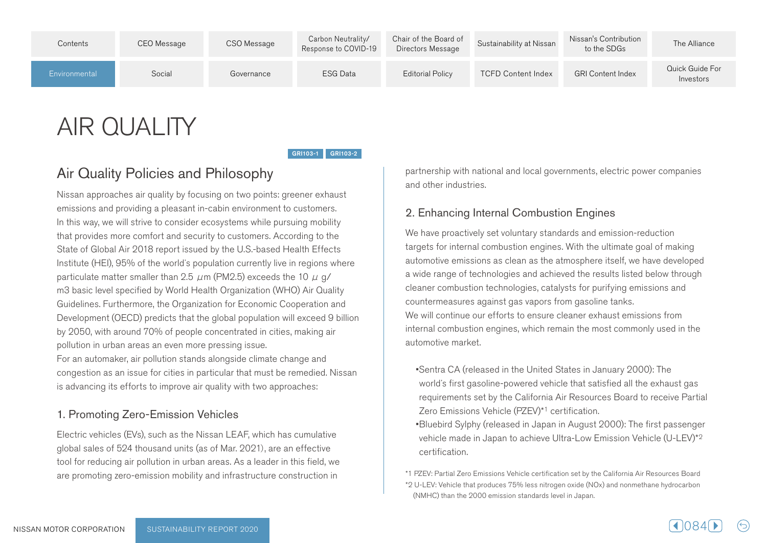| Contents      | CEO Message | CSO Message | Carbon Neutrality/<br>Response to COVID-19 | Chair of the Board of<br>Directors Message | Sustainability at Nissan  | Nissan's Contribution<br>to the SDGs | The Alliance                 |
|---------------|-------------|-------------|--------------------------------------------|--------------------------------------------|---------------------------|--------------------------------------|------------------------------|
| Environmental | Social      | Governance  | ESG Data                                   | <b>Editorial Policy</b>                    | <b>TCFD Content Index</b> | <b>GRI Content Index</b>             | Quick Guide For<br>Investors |

# **AIR QUALITY**

GRI103-1 GRI103-2

# Air Quality Policies and Philosophy

Nissan approaches air quality by focusing on two points: greener exhaust emissions and providing a pleasant in-cabin environment to customers. In this way, we will strive to consider ecosystems while pursuing mobility that provides more comfort and security to customers. According to the State of Global Air 2018 report issued by the U.S.-based Health Effects Institute (HEI), 95% of the world's population currently live in regions where particulate matter smaller than 2.5  $\mu$ m (PM2.5) exceeds the 10  $\mu$  g/ m3 basic level specified by World Health Organization (WHO) Air Quality Guidelines. Furthermore, the Organization for Economic Cooperation and Development (OECD) predicts that the global population will exceed 9 billion by 2050, with around 70% of people concentrated in cities, making air pollution in urban areas an even more pressing issue. For an automaker, air pollution stands alongside climate change and congestion as an issue for cities in particular that must be remedied. Nissan is advancing its efforts to improve air quality with two approaches:

#### 1. Promoting Zero-Emission Vehicles

Electric vehicles (EVs), such as the Nissan LEAF, which has cumulative global sales of 524 thousand units (as of Mar. 2021), are an effective tool for reducing air pollution in urban areas. As a leader in this field, we are promoting zero-emission mobility and infrastructure construction in

partnership with national and local governments, electric power companies and other industries.

#### 2. Enhancing Internal Combustion Engines

We have proactively set voluntary standards and emission-reduction targets for internal combustion engines. With the ultimate goal of making automotive emissions as clean as the atmosphere itself, we have developed a wide range of technologies and achieved the results listed below through cleaner combustion technologies, catalysts for purifying emissions and countermeasures against gas vapors from gasoline tanks. We will continue our efforts to ensure cleaner exhaust emissions from internal combustion engines, which remain the most commonly used in the automotive market.

- •Sentra CA (released in the United States in January 2000): The world's first gasoline-powered vehicle that satisfied all the exhaust gas requirements set by the California Air Resources Board to receive Partial Zero Emissions Vehicle (PZEV)<sup>\*1</sup> certification.
- **Bluebird Sylphy (released in Japan in August 2000): The first passenger** vehicle made in Japan to achieve Ultra-Low Emission Vehicle (U-LEV)<sup>\*2</sup> .certification

<sup>\*1</sup> PZEV: Partial Zero Emissions Vehicle certification set by the California Air Resources Board \*2 U-LEV: Vehicle that produces 75% less nitrogen oxide (NOx) and nonmethane hydrocarbon (NMHC) than the 2000 emission standards level in Japan.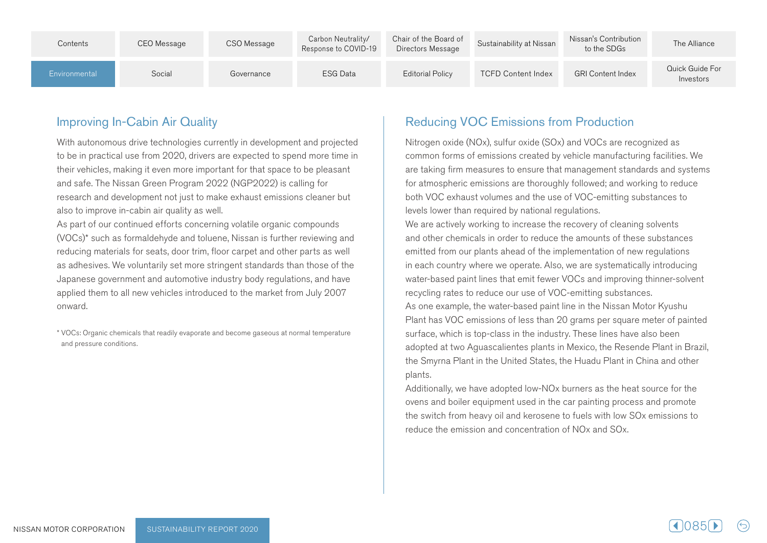| Contents      | CEO Message | CSO Message | Carbon Neutrality/<br>Response to COVID-19 | Chair of the Board of<br>Directors Message | Sustainability at Nissan  | Nissan's Contribution<br>to the SDGs | The Alliance                 |
|---------------|-------------|-------------|--------------------------------------------|--------------------------------------------|---------------------------|--------------------------------------|------------------------------|
| Environmental | Social      | Governance  | <b>ESG Data</b>                            | <b>Editorial Policy</b>                    | <b>TCFD Content Index</b> | <b>GRI Content Index</b>             | Quick Guide For<br>Investors |

## Improving In-Cabin Air Quality

With autonomous drive technologies currently in development and projected to be in practical use from 2020, drivers are expected to spend more time in their vehicles, making it even more important for that space to be pleasant and safe. The Nissan Green Program 2022 (NGP2022) is calling for research and development not just to make exhaust emissions cleaner but also to improve in-cabin air quality as well.

As part of our continued efforts concerning volatile organic compounds  $(VOCs)^*$  such as formaldehyde and toluene, Nissan is further reviewing and reducing materials for seats, door trim, floor carpet and other parts as well as adhesives. We voluntarily set more stringent standards than those of the Japanese government and automotive industry body regulations, and have applied them to all new vehicles introduced to the market from July 2007 .onward

\* VOCs: Organic chemicals that readily evaporate and become gaseous at normal temperature and pressure conditions.

# **Reducing VOC Emissions from Production**

Nitrogen oxide (NOx), sulfur oxide (SOx) and VOCs are recognized as common forms of emissions created by vehicle manufacturing facilities. We are taking firm measures to ensure that management standards and systems for atmospheric emissions are thoroughly followed; and working to reduce both VOC exhaust volumes and the use of VOC-emitting substances to levels lower than required by national requlations.

We are actively working to increase the recovery of cleaning solvents and other chemicals in order to reduce the amounts of these substances emitted from our plants ahead of the implementation of new regulations in each country where we operate. Also, we are systematically introducing water-based paint lines that emit fewer VOCs and improving thinner-solvent recycling rates to reduce our use of VOC-emitting substances. As one example, the water-based paint line in the Nissan Motor Kyushu Plant has VOC emissions of less than 20 grams per square meter of painted surface, which is top-class in the industry. These lines have also been adopted at two Aquascalientes plants in Mexico, the Resende Plant in Brazil, the Smyrna Plant in the United States, the Huadu Plant in China and other plants.

Additionally, we have adopted low-NO<sub>x</sub> burners as the heat source for the ovens and boiler equipment used in the car painting process and promote the switch from heavy oil and kerosene to fuels with low SOx emissions to reduce the emission and concentration of NO<sub>x</sub> and SO<sub>x</sub>.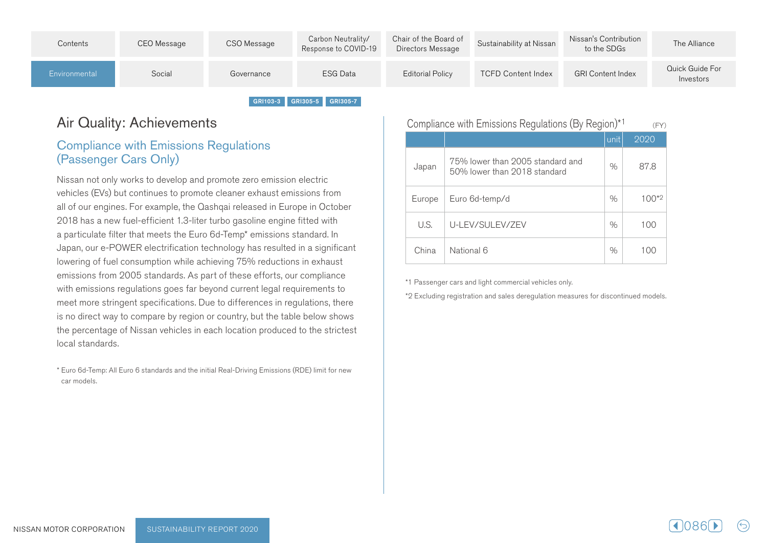| Contents      | CEO Message | CSO Message | Carbon Neutrality/<br>Response to COVID-19 | Chair of the Board of<br>Directors Message | Sustainability at Nissan  | Nissan's Contribution<br>to the SDGs | The Alliance                 |
|---------------|-------------|-------------|--------------------------------------------|--------------------------------------------|---------------------------|--------------------------------------|------------------------------|
| Environmental | Social      | Governance  | <b>ESG Data</b>                            | <b>Editorial Policy</b>                    | <b>TCFD Content Index</b> | <b>GRI Content Index</b>             | Quick Guide For<br>Investors |

GRI103-3 GRI305-5 GRI305-7

# Air Quality: Achievements

## **Compliance with Emissions Regulations** (Passenger Cars Only)

Nissan not only works to develop and promote zero emission electric vehicles (EVs) but continues to promote cleaner exhaust emissions from all of our engines. For example, the Qashqai released in Europe in October 2018 has a new fuel-efficient 1.3-liter turbo gasoline engine fitted with a particulate filter that meets the Euro 6d-Temp<sup>\*</sup> emissions standard. In Japan, our e-POWER electrification technology has resulted in a significant lowering of fuel consumption while achieving 75% reductions in exhaust emissions from 2005 standards. As part of these efforts, our compliance with emissions regulations goes far beyond current legal reguirements to meet more stringent specifications. Due to differences in regulations, there is no direct way to compare by region or country, but the table below shows the percentage of Nissan vehicles in each location produced to the strictest local standards.

\* Euro 6d-Temp: All Euro 6 standards and the initial Real-Driving Emissions (RDE) limit for new car models.

| Compliance with Emissions Regulations (By Region) <sup>*1</sup><br>(FY) |                                                                  |      |            |  |  |  |
|-------------------------------------------------------------------------|------------------------------------------------------------------|------|------------|--|--|--|
|                                                                         |                                                                  | unit | 2020       |  |  |  |
| Japan                                                                   | 75% lower than 2005 standard and<br>50% lower than 2018 standard | $\%$ | 87.8       |  |  |  |
| Europe                                                                  | Euro 6d-temp/d                                                   | $\%$ | $100^{*2}$ |  |  |  |
| U.S.                                                                    | U-LEV/SULEV/ZEV                                                  | $\%$ | 100        |  |  |  |
| China                                                                   | National 6                                                       | $\%$ | 100        |  |  |  |

\*1 Passenger cars and light commercial vehicles only.

\*2 Excluding registration and sales deregulation measures for discontinued models.